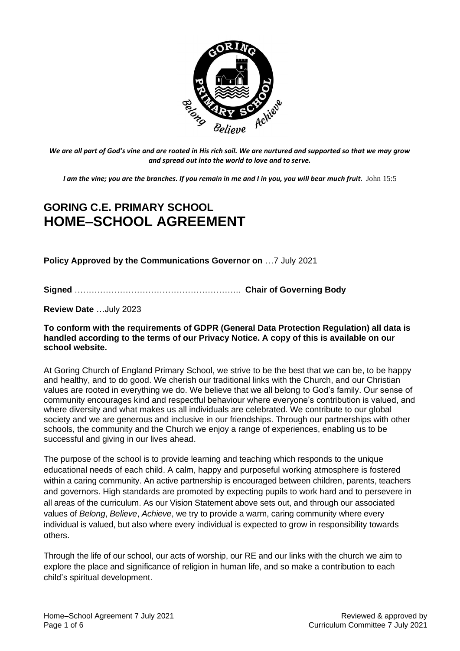

*We are all part of God's vine and are rooted in His rich soil. We are nurtured and supported so that we may grow and spread out into the world to love and to serve.*

*I am the vine; you are the branches. If you remain in me and I in you, you will bear much fruit.* John 15:5

# **GORING C.E. PRIMARY SCHOOL HOME–SCHOOL AGREEMENT**

**Policy Approved by the Communications Governor on** …7 July 2021

**Signed** ………………………………………………….. **Chair of Governing Body**

**Review Date** …July 2023

#### **To conform with the requirements of GDPR (General Data Protection Regulation) all data is handled according to the terms of our Privacy Notice. A copy of this is available on our school website.**

At Goring Church of England Primary School, we strive to be the best that we can be, to be happy and healthy, and to do good. We cherish our traditional links with the Church, and our Christian values are rooted in everything we do. We believe that we all belong to God's family. Our sense of community encourages kind and respectful behaviour where everyone's contribution is valued, and where diversity and what makes us all individuals are celebrated. We contribute to our global society and we are generous and inclusive in our friendships. Through our partnerships with other schools, the community and the Church we enjoy a range of experiences, enabling us to be successful and giving in our lives ahead.

The purpose of the school is to provide learning and teaching which responds to the unique educational needs of each child. A calm, happy and purposeful working atmosphere is fostered within a caring community. An active partnership is encouraged between children, parents, teachers and governors. High standards are promoted by expecting pupils to work hard and to persevere in all areas of the curriculum. As our Vision Statement above sets out, and through our associated values of *Belong*, *Believe*, *Achieve*, we try to provide a warm, caring community where every individual is valued, but also where every individual is expected to grow in responsibility towards others.

Through the life of our school, our acts of worship, our RE and our links with the church we aim to explore the place and significance of religion in human life, and so make a contribution to each child's spiritual development.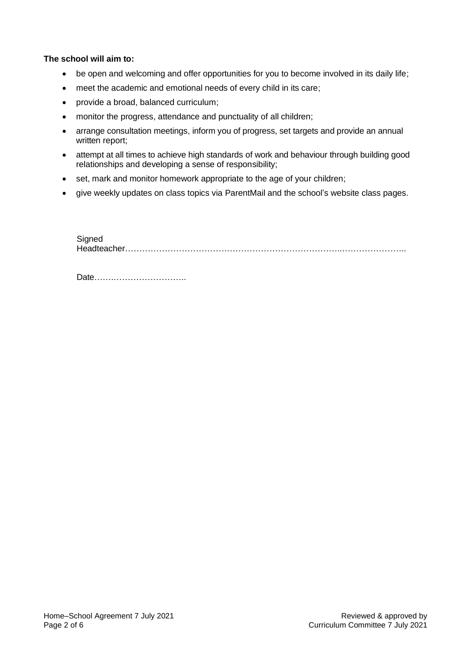#### **The school will aim to:**

- be open and welcoming and offer opportunities for you to become involved in its daily life;
- meet the academic and emotional needs of every child in its care;
- provide a broad, balanced curriculum;
- monitor the progress, attendance and punctuality of all children;
- arrange consultation meetings, inform you of progress, set targets and provide an annual written report:
- attempt at all times to achieve high standards of work and behaviour through building good relationships and developing a sense of responsibility;
- set, mark and monitor homework appropriate to the age of your children;
- give weekly updates on class topics via ParentMail and the school's website class pages.

**Signed** Headteacher…………………………………………………………………..…………………..

Date…….……………………..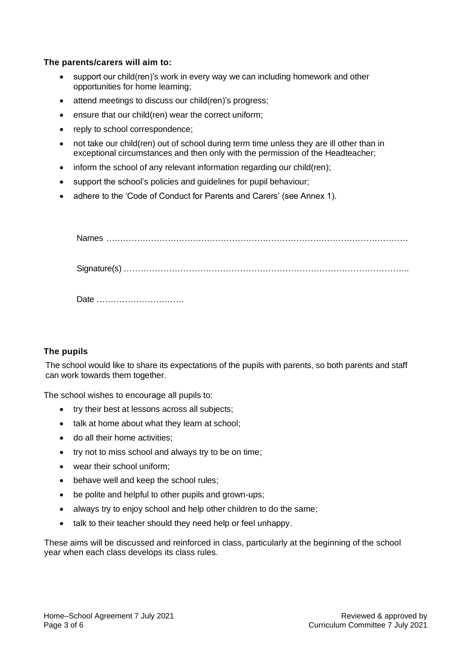#### **The parents/carers will aim to:**

- support our child(ren)'s work in every way we can including homework and other opportunities for home learning;
- attend meetings to discuss our child(ren)'s progress;
- ensure that our child(ren) wear the correct uniform;
- reply to school correspondence;
- not take our child(ren) out of school during term time unless they are ill other than in exceptional circumstances and then only with the permission of the Headteacher;
- inform the school of any relevant information regarding our child(ren);
- support the school's policies and guidelines for pupil behaviour;
- adhere to the 'Code of Conduct for Parents and Carers' (see Annex 1).

Names ………………………………………………………………………………………………

Signature(s) ………………………………………………………………………………………..

Date ………………………….

#### **The pupils**

The school would like to share its expectations of the pupils with parents, so both parents and staff can work towards them together.

The school wishes to encourage all pupils to:

- try their best at lessons across all subjects;
- talk at home about what they learn at school;
- do all their home activities;
- try not to miss school and always try to be on time;
- wear their school uniform;
- behave well and keep the school rules;
- be polite and helpful to other pupils and grown-ups;
- always try to enjoy school and help other children to do the same;
- talk to their teacher should they need help or feel unhappy.

These aims will be discussed and reinforced in class, particularly at the beginning of the school year when each class develops its class rules.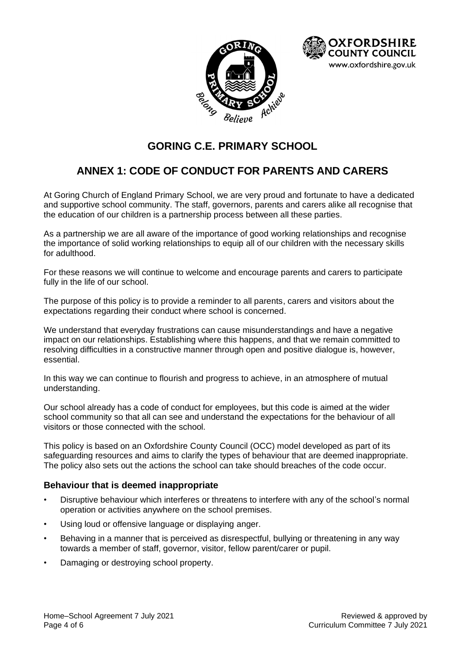



# **GORING C.E. PRIMARY SCHOOL**

# **ANNEX 1: CODE OF CONDUCT FOR PARENTS AND CARERS**

At Goring Church of England Primary School, we are very proud and fortunate to have a dedicated and supportive school community. The staff, governors, parents and carers alike all recognise that the education of our children is a partnership process between all these parties.

As a partnership we are all aware of the importance of good working relationships and recognise the importance of solid working relationships to equip all of our children with the necessary skills for adulthood.

For these reasons we will continue to welcome and encourage parents and carers to participate fully in the life of our school.

The purpose of this policy is to provide a reminder to all parents, carers and visitors about the expectations regarding their conduct where school is concerned.

We understand that everyday frustrations can cause misunderstandings and have a negative impact on our relationships. Establishing where this happens, and that we remain committed to resolving difficulties in a constructive manner through open and positive dialogue is, however, essential.

In this way we can continue to flourish and progress to achieve, in an atmosphere of mutual understanding.

Our school already has a code of conduct for employees, but this code is aimed at the wider school community so that all can see and understand the expectations for the behaviour of all visitors or those connected with the school.

This policy is based on an Oxfordshire County Council (OCC) model developed as part of its safeguarding resources and aims to clarify the types of behaviour that are deemed inappropriate. The policy also sets out the actions the school can take should breaches of the code occur.

#### **Behaviour that is deemed inappropriate**

- Disruptive behaviour which interferes or threatens to interfere with any of the school's normal operation or activities anywhere on the school premises.
- Using loud or offensive language or displaying anger.
- Behaving in a manner that is perceived as disrespectful, bullying or threatening in any way towards a member of staff, governor, visitor, fellow parent/carer or pupil.
- Damaging or destroying school property.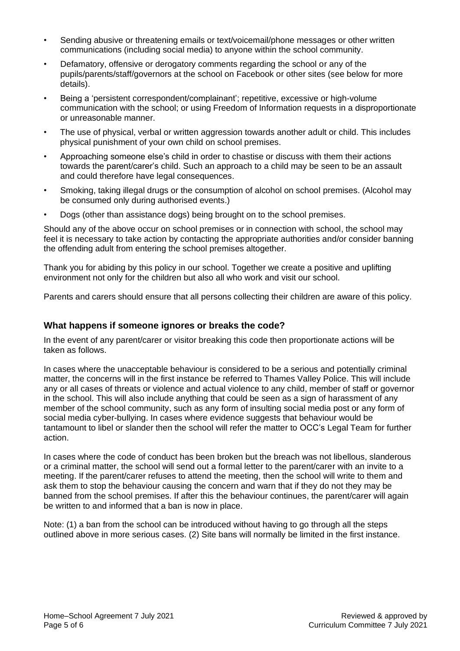- Sending abusive or threatening emails or text/voicemail/phone messages or other written communications (including social media) to anyone within the school community.
- Defamatory, offensive or derogatory comments regarding the school or any of the pupils/parents/staff/governors at the school on Facebook or other sites (see below for more details).
- Being a 'persistent correspondent/complainant'; repetitive, excessive or high-volume communication with the school; or using Freedom of Information requests in a disproportionate or unreasonable manner.
- The use of physical, verbal or written aggression towards another adult or child. This includes physical punishment of your own child on school premises.
- Approaching someone else's child in order to chastise or discuss with them their actions towards the parent/carer's child. Such an approach to a child may be seen to be an assault and could therefore have legal consequences.
- Smoking, taking illegal drugs or the consumption of alcohol on school premises. (Alcohol may be consumed only during authorised events.)
- Dogs (other than assistance dogs) being brought on to the school premises.

Should any of the above occur on school premises or in connection with school, the school may feel it is necessary to take action by contacting the appropriate authorities and/or consider banning the offending adult from entering the school premises altogether.

Thank you for abiding by this policy in our school. Together we create a positive and uplifting environment not only for the children but also all who work and visit our school.

Parents and carers should ensure that all persons collecting their children are aware of this policy.

#### **What happens if someone ignores or breaks the code?**

In the event of any parent/carer or visitor breaking this code then proportionate actions will be taken as follows.

In cases where the unacceptable behaviour is considered to be a serious and potentially criminal matter, the concerns will in the first instance be referred to Thames Valley Police. This will include any or all cases of threats or violence and actual violence to any child, member of staff or governor in the school. This will also include anything that could be seen as a sign of harassment of any member of the school community, such as any form of insulting social media post or any form of social media cyber-bullying. In cases where evidence suggests that behaviour would be tantamount to libel or slander then the school will refer the matter to OCC's Legal Team for further action.

In cases where the code of conduct has been broken but the breach was not libellous, slanderous or a criminal matter, the school will send out a formal letter to the parent/carer with an invite to a meeting. If the parent/carer refuses to attend the meeting, then the school will write to them and ask them to stop the behaviour causing the concern and warn that if they do not they may be banned from the school premises. If after this the behaviour continues, the parent/carer will again be written to and informed that a ban is now in place.

Note: (1) a ban from the school can be introduced without having to go through all the steps outlined above in more serious cases. (2) Site bans will normally be limited in the first instance.